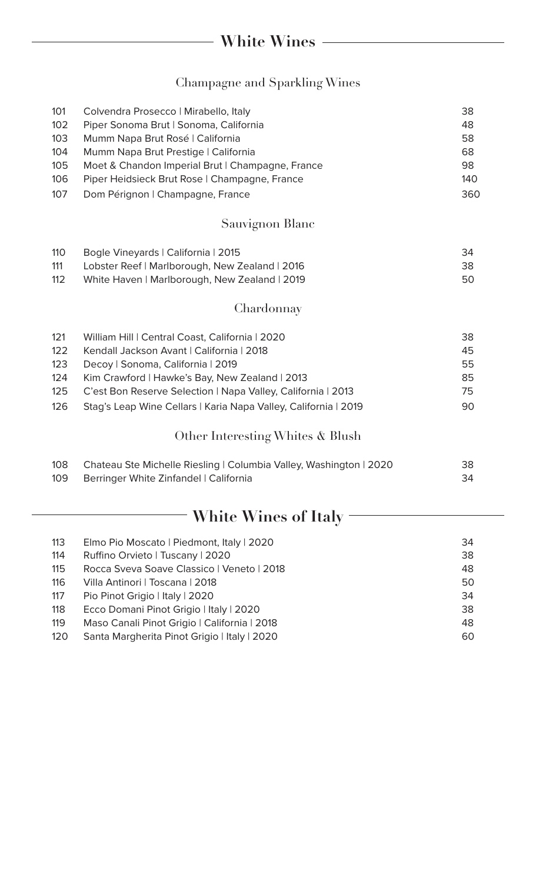## Champagne and Sparkling Wines

| 101<br>102<br>103<br>104<br>105<br>106<br>107 | Colvendra Prosecco   Mirabello, Italy<br>Piper Sonoma Brut   Sonoma, California<br>Mumm Napa Brut Rosé   California<br>Mumm Napa Brut Prestige   California<br>Moet & Chandon Imperial Brut   Champagne, France<br>Piper Heidsieck Brut Rose   Champagne, France<br>Dom Pérignon   Champagne, France                   | 38<br>48<br>58<br>68<br>98<br>140<br>360 |  |
|-----------------------------------------------|------------------------------------------------------------------------------------------------------------------------------------------------------------------------------------------------------------------------------------------------------------------------------------------------------------------------|------------------------------------------|--|
|                                               |                                                                                                                                                                                                                                                                                                                        |                                          |  |
|                                               | Sauvignon Blanc                                                                                                                                                                                                                                                                                                        |                                          |  |
| 110<br>111<br>112                             | Bogle Vineyards   California   2015<br>Lobster Reef   Marlborough, New Zealand   2016<br>White Haven   Marlborough, New Zealand   2019                                                                                                                                                                                 | 34<br>38<br>50                           |  |
|                                               | Chardonnay                                                                                                                                                                                                                                                                                                             |                                          |  |
| 121<br>122<br>123<br>124<br>125<br>126        | William Hill   Central Coast, California   2020<br>Kendall Jackson Avant   California   2018<br>Decoy   Sonoma, California   2019<br>Kim Crawford   Hawke's Bay, New Zealand   2013<br>C'est Bon Reserve Selection   Napa Valley, California   2013<br>Stag's Leap Wine Cellars   Karia Napa Valley, California   2019 | 38<br>45<br>55<br>85<br>75<br>90         |  |
|                                               | Other Interesting Whites & Blush                                                                                                                                                                                                                                                                                       |                                          |  |
| 108<br>109                                    | Chateau Ste Michelle Riesling   Columbia Valley, Washington   2020<br>Berringer White Zinfandel   California                                                                                                                                                                                                           | 38<br>34                                 |  |
| White Wines of Italy                          |                                                                                                                                                                                                                                                                                                                        |                                          |  |
| 110                                           | $\Gamma$ <sub>ne</sub> $\Gamma$ <sub>ie</sub> Messate Disdresset Italy 2000                                                                                                                                                                                                                                            | $\Omega$                                 |  |

| 113 | Elmo Pio Moscato   Piedmont, Italy   2020    | 34 |
|-----|----------------------------------------------|----|
| 114 | Ruffino Orvieto   Tuscany   2020             | 38 |
| 115 | Rocca Sveva Soave Classico   Veneto   2018   | 48 |
| 116 | Villa Antinori   Toscana   2018              | 50 |
| 117 | Pio Pinot Grigio   Italy   2020              | 34 |
| 118 | Ecco Domani Pinot Grigio   Italy   2020      | 38 |
| 119 | Maso Canali Pinot Grigio   California   2018 | 48 |
| 120 | Santa Margherita Pinot Grigio   Italy   2020 | 60 |